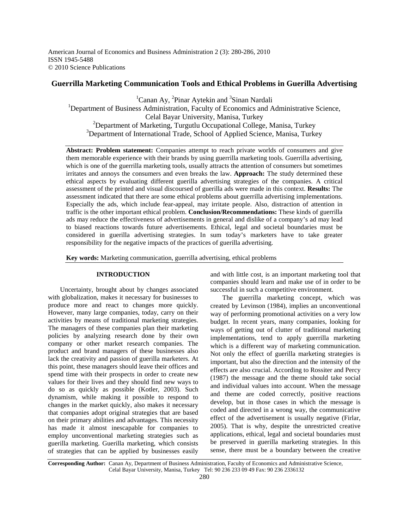American Journal of Economics and Business Administration 2 (3): 280-286, 2010 ISSN 1945-5488 © 2010 Science Publications

# **Guerrilla Marketing Communication Tools and Ethical Problems in Guerilla Advertising**

<sup>1</sup>Canan Ay, <sup>2</sup>Pinar Aytekin and <sup>3</sup>Sinan Nardali <sup>1</sup>Department of Business Administration, Faculty of Economics and Administrative Science, Celal Bayar University, Manisa, Turkey <sup>2</sup>Department of Marketing, Turgutlu Occupational College, Manisa, Turkey <sup>3</sup>Department of International Trade, School of Applied Science, Manisa, Turkey

**Abstract: Problem statement:** Companies attempt to reach private worlds of consumers and give them memorable experience with their brands by using guerrilla marketing tools. Guerrilla advertising, which is one of the guerrilla marketing tools, usually attracts the attention of consumers but sometimes irritates and annoys the consumers and even breaks the law. **Approach:** The study determined these ethical aspects by evaluating different guerilla advertising strategies of the companies. A critical assessment of the printed and visual discoursed of guerilla ads were made in this context. **Results:** The assessment indicated that there are some ethical problems about guerrilla advertising implementations. Especially the ads, which include fear-appeal, may irritate people. Also, distraction of attention in traffic is the other important ethical problem. **Conclusion/Recommendations:** These kinds of guerrilla ads may reduce the effectiveness of advertisements in general and dislike of a company's ad may lead to biased reactions towards future advertisements. Ethical, legal and societal boundaries must be considered in guerilla advertising strategies. In sum today's marketers have to take greater responsibility for the negative impacts of the practices of guerilla advertising.

**Key words:** Marketing communication, guerrilla advertising, ethical problems

## **INTRODUCTION**

 Uncertainty, brought about by changes associated with globalization, makes it necessary for businesses to produce more and react to changes more quickly. However, many large companies, today, carry on their activities by means of traditional marketing strategies. The managers of these companies plan their marketing policies by analyzing research done by their own company or other market research companies. The product and brand managers of these businesses also lack the creativity and passion of guerilla marketers. At this point, these managers should leave their offices and spend time with their prospects in order to create new values for their lives and they should find new ways to do so as quickly as possible (Kotler, 2003). Such dynamism, while making it possible to respond to changes in the market quickly, also makes it necessary that companies adopt original strategies that are based on their primary abilities and advantages. This necessity has made it almost inescapable for companies to employ unconventional marketing strategies such as guerilla marketing. Guerilla marketing, which consists of strategies that can be applied by businesses easily

and with little cost, is an important marketing tool that companies should learn and make use of in order to be successful in such a competitive environment.

 The guerrilla marketing concept, which was created by Levinson (1984), implies an unconventional way of performing promotional activities on a very low budget. In recent years, many companies, looking for ways of getting out of clutter of traditional marketing implementations, tend to apply guerrilla marketing which is a different way of marketing communication. Not only the effect of guerilla marketing strategies is important, but also the direction and the intensity of the effects are also crucial. According to Rossiter and Percy (1987) the message and the theme should take social and individual values into account. When the message and theme are coded correctly, positive reactions develop, but in those cases in which the message is coded and directed in a wrong way, the communicative effect of the advertisement is usually negative (Firlar, 2005). That is why, despite the unrestricted creative applications, ethical, legal and societal boundaries must be preserved in guerilla marketing strategies. In this sense, there must be a boundary between the creative

**Corresponding Author:** Canan Ay, Department of Business Administration, Faculty of Economics and Administrative Science, Celal Bayar University, Manisa, Turkey Tel: 90 236 233 09 49 Fax: 90 236 2336132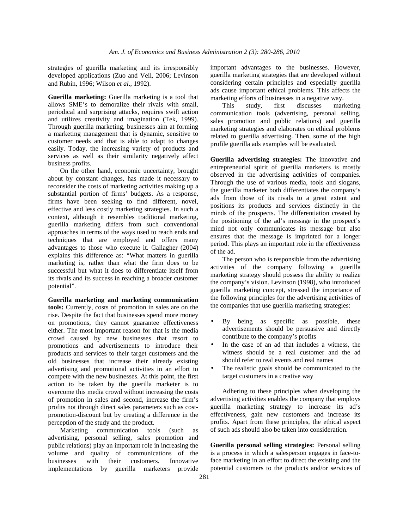strategies of guerilla marketing and its irresponsibly developed applications (Zuo and Veil, 2006; Levinson and Rubin, 1996; Wilson *et al*., 1992).

**Guerilla marketing:** Guerilla marketing is a tool that allows SME's to demoralize their rivals with small, periodical and surprising attacks, requires swift action and utilizes creativity and imagination (Tek, 1999). Through guerilla marketing, businesses aim at forming a marketing management that is dynamic, sensitive to customer needs and that is able to adapt to changes easily. Today, the increasing variety of products and services as well as their similarity negatively affect business profits.

 On the other hand, economic uncertainty, brought about by constant changes, has made it necessary to reconsider the costs of marketing activities making up a substantial portion of firms' budgets. As a response, firms have been seeking to find different, novel, effective and less costly marketing strategies. In such a context, although it resembles traditional marketing, guerilla marketing differs from such conventional approaches in terms of the ways used to reach ends and techniques that are employed and offers many advantages to those who execute it. Gallagher (2004) explains this difference as: "What matters in guerilla marketing is, rather than what the firm does to be successful but what it does to differentiate itself from its rivals and its success in reaching a broader customer potential".

**Guerilla marketing and marketing communication tools:** Currently, costs of promotion in sales are on the rise. Despite the fact that businesses spend more money on promotions, they cannot guarantee effectiveness either. The most important reason for that is the media crowd caused by new businesses that resort to promotions and advertisements to introduce their products and services to their target customers and the old businesses that increase their already existing advertising and promotional activities in an effort to compete with the new businesses. At this point, the first action to be taken by the guerilla marketer is to overcome this media crowd without increasing the costs of promotion in sales and second, increase the firm's profits not through direct sales parameters such as costpromotion-discount but by creating a difference in the perception of the study and the product.

 Marketing communication tools (such as advertising, personal selling, sales promotion and public relations) play an important role in increasing the volume and quality of communications of the businesses with their customers. Innovative implementations by guerilla marketers provide

important advantages to the businesses. However, guerilla marketing strategies that are developed without considering certain principles and especially guerilla ads cause important ethical problems. This affects the marketing efforts of businesses in a negative way.

 This study, first discusses marketing communication tools (advertising, personal selling, sales promotion and public relations) and guerilla marketing strategies and elaborates on ethical problems related to guerilla advertising. Then, some of the high profile guerilla ads examples will be evaluated.

**Guerilla advertising strategies:** The innovative and entrepreneurial spirit of guerilla marketers is mostly observed in the advertising activities of companies. Through the use of various media, tools and slogans, the guerilla marketer both differentiates the company's ads from those of its rivals to a great extent and positions its products and services distinctly in the minds of the prospects. The differentiation created by the positioning of the ad's message in the prospect's mind not only communicates its message but also ensures that the message is imprinted for a longer period. This plays an important role in the effectiveness of the ad.

 The person who is responsible from the advertising activities of the company following a guerilla marketing strategy should possess the ability to realize the company's vision. Levinson (1998), who introduced guerilla marketing concept, stressed the importance of the following principles for the advertising activities of the companies that use guerilla marketing strategies:

- By being as specific as possible, these advertisements should be persuasive and directly contribute to the company's profits
- In the case of an ad that includes a witness, the witness should be a real customer and the ad should refer to real events and real names
- The realistic goals should be communicated to the target customers in a creative way

 Adhering to these principles when developing the advertising activities enables the company that employs guerilla marketing strategy to increase its ad's effectiveness, gain new customers and increase its profits. Apart from these principles, the ethical aspect of such ads should also be taken into consideration.

**Guerilla personal selling strategies:** Personal selling is a process in which a salesperson engages in face-toface marketing in an effort to direct the existing and the potential customers to the products and/or services of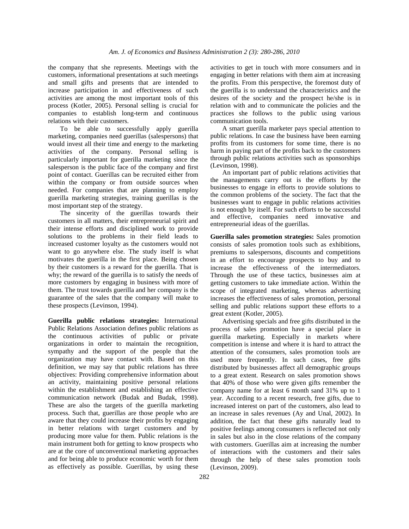the company that she represents. Meetings with the customers, informational presentations at such meetings and small gifts and presents that are intended to increase participation in and effectiveness of such activities are among the most important tools of this process (Kotler, 2005). Personal selling is crucial for companies to establish long-term and continuous relations with their customers.

 To be able to successfully apply guerilla marketing, companies need guerillas (salespersons) that would invest all their time and energy to the marketing activities of the company. Personal selling is particularly important for guerilla marketing since the salesperson is the public face of the company and first point of contact. Guerillas can be recruited either from within the company or from outside sources when needed. For companies that are planning to employ guerilla marketing strategies, training guerillas is the most important step of the strategy.

 The sincerity of the guerillas towards their customers in all matters, their entrepreneurial spirit and their intense efforts and disciplined work to provide solutions to the problems in their field leads to increased customer loyalty as the customers would not want to go anywhere else. The study itself is what motivates the guerilla in the first place. Being chosen by their customers is a reward for the guerilla. That is why; the reward of the guerilla is to satisfy the needs of more customers by engaging in business with more of them. The trust towards guerilla and her company is the guarantee of the sales that the company will make to these prospects (Levinson, 1994).

**Guerilla public relations strategies:** International Public Relations Association defines public relations as the continuous activities of public or private organizations in order to maintain the recognition, sympathy and the support of the people that the organization may have contact with. Based on this definition, we may say that public relations has three objectives: Providing comprehensive information about an activity, maintaining positive personal relations within the establishment and establishing an effective communication network (Budak and Budak, 1998). These are also the targets of the guerilla marketing process. Such that, guerillas are those people who are aware that they could increase their profits by engaging in better relations with target customers and by producing more value for them. Public relations is the main instrument both for getting to know prospects who are at the core of unconventional marketing approaches and for being able to produce economic worth for them as effectively as possible. Guerillas, by using these

activities to get in touch with more consumers and in engaging in better relations with them aim at increasing the profits. From this perspective, the foremost duty of the guerilla is to understand the characteristics and the desires of the society and the prospect he/she is in relation with and to communicate the policies and the practices she follows to the public using various communication tools.

 A smart guerilla marketer pays special attention to public relations. In case the business have been earning profits from its customers for some time, there is no harm in paying part of the profits back to the customers through public relations activities such as sponsorships (Levinson, 1998).

 An important part of public relations activities that the managements carry out is the efforts by the businesses to engage in efforts to provide solutions to the common problems of the society. The fact that the businesses want to engage in public relations activities is not enough by itself. For such efforts to be successful and effective, companies need innovative and entrepreneurial ideas of the guerillas.

**Guerilla sales promotion strategies:** Sales promotion consists of sales promotion tools such as exhibitions, premiums to salespersons, discounts and competitions in an effort to encourage prospects to buy and to increase the effectiveness of the intermediators. Through the use of these tactics, businesses aim at getting customers to take immediate action. Within the scope of integrated marketing, whereas advertising increases the effectiveness of sales promotion, personal selling and public relations support these efforts to a great extent (Kotler, 2005).

 Advertising specials and free gifts distributed in the process of sales promotion have a special place in guerilla marketing. Especially in markets where competition is intense and where it is hard to attract the attention of the consumers, sales promotion tools are used more frequently. In such cases, free gifts distributed by businesses affect all demographic groups to a great extent. Research on sales promotion shows that 40% of those who were given gifts remember the company name for at least 6 month sand 31% up to 1 year. According to a recent research, free gifts, due to increased interest on part of the customers, also lead to an increase in sales revenues (Ay and Unal, 2002). In addition, the fact that these gifts naturally lead to positive feelings among consumers is reflected not only in sales but also in the close relations of the company with customers. Guerillas aim at increasing the number of interactions with the customers and their sales through the help of these sales promotion tools (Levinson, 2009).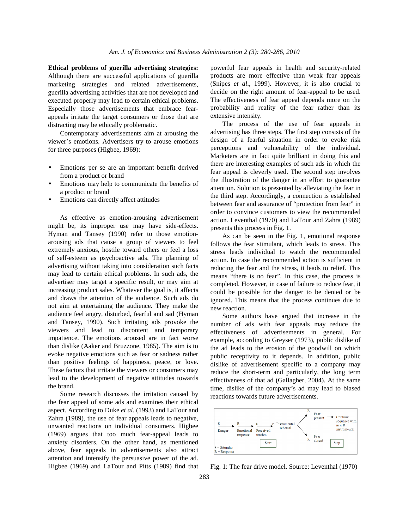**Ethical problems of guerilla advertising strategies:**  Although there are successful applications of guerilla marketing strategies and related advertisements, guerilla advertising activities that are not developed and executed properly may lead to certain ethical problems. Especially those advertisements that embrace fearappeals irritate the target consumers or those that are distracting may be ethically problematic.

 Contemporary advertisements aim at arousing the viewer's emotions. Advertisers try to arouse emotions for three purposes (Higbee, 1969):

- Emotions per se are an important benefit derived from a product or brand
- Emotions may help to communicate the benefits of a product or brand
- Emotions can directly affect attitudes

 As effective as emotion-arousing advertisement might be, its improper use may have side-effects. Hyman and Tansey (1990) refer to those emotionarousing ads that cause a group of viewers to feel extremely anxious, hostile toward others or feel a loss of self-esteem as psychoactive ads. The planning of advertising without taking into consideration such facts may lead to certain ethical problems. In such ads, the advertiser may target a specific result, or may aim at increasing product sales. Whatever the goal is, it affects and draws the attention of the audience. Such ads do not aim at entertaining the audience. They make the audience feel angry, disturbed, fearful and sad (Hyman and Tansey, 1990). Such irritating ads provoke the viewers and lead to discontent and temporary impatience. The emotions aroused are in fact worse than dislike (Aaker and Bruzzone, 1985). The aim is to evoke negative emotions such as fear or sadness rather than positive feelings of happiness, peace, or love. These factors that irritate the viewers or consumers may lead to the development of negative attitudes towards the brand.

 Some research discusses the irritation caused by the fear appeal of some ads and examines their ethical aspect. According to Duke *et al*. (1993) and LaTour and Zahra (1989), the use of fear appeals leads to negative, unwanted reactions on individual consumers. Higbee (1969) argues that too much fear-appeal leads to anxiety disorders. On the other hand, as mentioned above, fear appeals in advertisements also attract attention and intensify the persuasive power of the ad. Higbee (1969) and LaTour and Pitts (1989) find that powerful fear appeals in health and security-related products are more effective than weak fear appeals (Snipes *et al*., 1999). However, it is also crucial to decide on the right amount of fear-appeal to be used. The effectiveness of fear appeal depends more on the probability and reality of the fear rather than its extensive intensity.

 The process of the use of fear appeals in advertising has three steps. The first step consists of the design of a fearful situation in order to evoke risk perceptions and vulnerability of the individual. Marketers are in fact quite brilliant in doing this and there are interesting examples of such ads in which the fear appeal is cleverly used. The second step involves the illustration of the danger in an effort to guarantee attention. Solution is presented by alleviating the fear in the third step. Accordingly, a connection is established between fear and assurance of "protection from fear" in order to convince customers to view the recommended action. Leventhal (1970) and LaTour and Zahra (1989) presents this process in Fig. 1.

 As can be seen in the Fig. 1, emotional response follows the fear stimulant, which leads to stress. This stress leads individual to watch the recommended action. In case the recommended action is sufficient in reducing the fear and the stress, it leads to relief. This means "there is no fear". In this case, the process is completed. However, in case of failure to reduce fear, it could be possible for the danger to be denied or be ignored. This means that the process continues due to new reaction.

 Some authors have argued that increase in the number of ads with fear appeals may reduce the effectiveness of advertisements in general. For example, according to Greyser (1973), public dislike of the ad leads to the erosion of the goodwill on which public receptivity to it depends. In addition, public dislike of advertisement specific to a company may reduce the short-term and particularly, the long term effectiveness of that ad (Gallagher, 2004). At the same time, dislike of the company's ad may lead to biased reactions towards future advertisements.



Fig. 1: The fear drive model. Source: Leventhal (1970)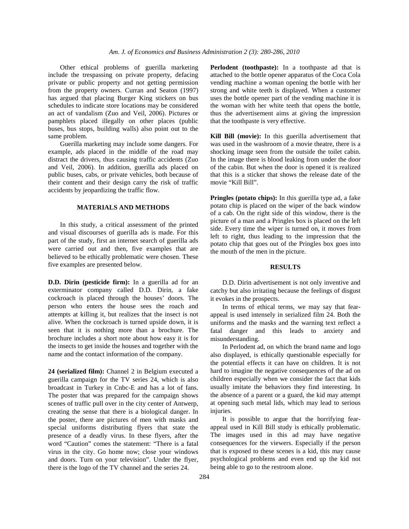Other ethical problems of guerilla marketing include the trespassing on private property, defacing private or public property and not getting permission from the property owners. Curran and Seaton (1997) has argued that placing Burger King stickers on bus schedules to indicate store locations may be considered an act of vandalism (Zuo and Veil, 2006). Pictures or pamphlets placed illegally on other places (public buses, bus stops, building walls) also point out to the same problem.

 Guerilla marketing may include some dangers. For example, ads placed in the middle of the road may distract the drivers, thus causing traffic accidents (Zuo and Veil, 2006). In addition, guerilla ads placed on public buses, cabs, or private vehicles, both because of their content and their design carry the risk of traffic accidents by jeopardizing the traffic flow.

## **MATERIALS AND METHODS**

 In this study, a critical assessment of the printed and visual discourses of guerilla ads is made. For this part of the study, first an internet search of guerilla ads were carried out and then, five examples that are believed to be ethically problematic were chosen. These five examples are presented below.

**D.D. Dirin (pesticide firm):** In a guerilla ad for an exterminator company called D.D. Dirin, a fake cockroach is placed through the houses' doors. The person who enters the house sees the roach and attempts at killing it, but realizes that the insect is not alive. When the cockroach is turned upside down, it is seen that it is nothing more than a brochure. The brochure includes a short note about how easy it is for the insects to get inside the houses and together with the name and the contact information of the company.

**24 (serialized film):** Channel 2 in Belgium executed a guerilla campaign for the TV series 24, which is also broadcast in Turkey in Cnbc-E and has a lot of fans. The poster that was prepared for the campaign shows scenes of traffic pull over in the city center of Antwerp, creating the sense that there is a biological danger. In the poster, there are pictures of men with masks and special uniforms distributing flyers that state the presence of a deadly virus. In these flyers, after the word "Caution" comes the statement: "There is a fatal virus in the city. Go home now; close your windows and doors. Turn on your television". Under the flyer, there is the logo of the TV channel and the series 24.

**Perlodent (toothpaste):** In a toothpaste ad that is attached to the bottle opener apparatus of the Coca Cola vending machine a woman opening the bottle with her strong and white teeth is displayed. When a customer uses the bottle opener part of the vending machine it is the woman with her white teeth that opens the bottle, thus the advertisement aims at giving the impression that the toothpaste is very effective.

**Kill Bill (movie):** In this guerilla advertisement that was used in the washroom of a movie theatre, there is a shocking image seen from the outside the toilet cabin. In the image there is blood leaking from under the door of the cabin. But when the door is opened it is realized that this is a sticker that shows the release date of the movie "Kill Bill".

**Pringles (potato chips):** In this guerilla type ad, a fake potato chip is placed on the wiper of the back window of a cab. On the right side of this window, there is the picture of a man and a Pringles box is placed on the left side. Every time the wiper is turned on, it moves from left to right, thus leading to the impression that the potato chip that goes out of the Pringles box goes into the mouth of the men in the picture.

### **RESULTS**

 D.D. Dirin advertisement is not only inventive and catchy but also irritating because the feelings of disgust it evokes in the prospects.

 In terms of ethical terms, we may say that fearappeal is used intensely in serialized film 24. Both the uniforms and the masks and the warning text reflect a fatal danger and this leads to anxiety and misunderstanding.

 In Perlodent ad, on which the brand name and logo also displayed, is ethically questionable especially for the potential effects it can have on children. It is not hard to imagine the negative consequences of the ad on children especially when we consider the fact that kids usually imitate the behaviors they find interesting. In the absence of a parent or a guard, the kid may attempt at opening such metal lids, which may lead to serious injuries.

 It is possible to argue that the horrifying fearappeal used in Kill Bill study is ethically problematic. The images used in this ad may have negative consequences for the viewers. Especially if the person that is exposed to these scenes is a kid, this may cause psychological problems and even end up the kid not being able to go to the restroom alone.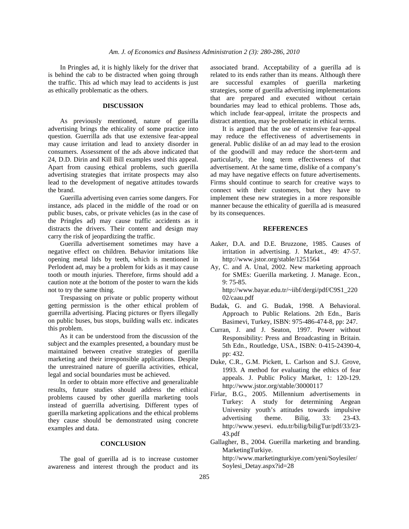In Pringles ad, it is highly likely for the driver that is behind the cab to be distracted when going through the traffic. This ad which may lead to accidents is just as ethically problematic as the others.

## **DISCUSSION**

 As previously mentioned, nature of guerilla advertising brings the ethicality of some practice into question. Guerrilla ads that use extensive fear-appeal may cause irritation and lead to anxiety disorder in consumers. Assessment of the ads above indicated that 24, D.D. Dirin and Kill Bill examples used this appeal. Apart from causing ethical problems, such guerilla advertising strategies that irritate prospects may also lead to the development of negative attitudes towards the brand.

 Guerilla advertising even carries some dangers. For instance, ads placed in the middle of the road or on public buses, cabs, or private vehicles (as in the case of the Pringles ad) may cause traffic accidents as it distracts the drivers. Their content and design may carry the risk of jeopardizing the traffic.

 Guerilla advertisement sometimes may have a negative effect on children. Behavior imitations like opening metal lids by teeth, which is mentioned in Perlodent ad, may be a problem for kids as it may cause tooth or mouth injuries. Therefore, firms should add a caution note at the bottom of the poster to warn the kids not to try the same thing.

 Trespassing on private or public property without getting permission is the other ethical problem of guerrilla advertising. Placing pictures or flyers illegally on public buses, bus stops, building walls etc. indicates this problem.

 As it can be understood from the discussion of the subject and the examples presented, a boundary must be maintained between creative strategies of guerilla marketing and their irresponsible applications. Despite the unrestrained nature of guerilla activities, ethical, legal and social boundaries must be achieved.

 In order to obtain more effective and generalizable results, future studies should address the ethical problems caused by other guerilla marketing tools instead of guerrilla advertising. Different types of guerilla marketing applications and the ethical problems they cause should be demonstrated using concrete examples and data.

#### **CONCLUSION**

 The goal of guerilla ad is to increase customer awareness and interest through the product and its associated brand. Acceptability of a guerilla ad is related to its ends rather than its means. Although there are successful examples of guerilla marketing strategies, some of guerilla advertising implementations that are prepared and executed without certain boundaries may lead to ethical problems. Those ads, which include fear-appeal, irritate the prospects and distract attention, may be problematic in ethical terms.

 It is argued that the use of extensive fear-appeal may reduce the effectiveness of advertisements in general. Public dislike of an ad may lead to the erosion of the goodwill and may reduce the short-term and particularly, the long term effectiveness of that advertisement. At the same time, dislike of a company's ad may have negative effects on future advertisements. Firms should continue to search for creative ways to connect with their customers, but they have to implement these new strategies in a more responsible manner because the ethicality of guerilla ad is measured by its consequences.

### **REFERENCES**

- Aaker, D.A. and D.E. Bruzzone, 1985. Causes of irritation in advertising. J. Market., 49: 47-57. http://www.jstor.org/stable/1251564
- Ay, C. and A. Unal, 2002. New marketing approach for SMEs: Guerilla marketing. J. Manage. Econ., 9: 75-85. http://www.bayar.edu.tr/~iibf/dergi/pdf/C9S1\_220 02/caau.pdf
- Budak, G. and G. Budak, 1998. A Behavioral. Approach to Public Relations. 2th Edn., Baris Basimevi, Turkey, ISBN: 975-486-474-8, pp: 247.
- Curran, J. and J. Seaton, 1997. Power without Responsibility: Press and Broadcasting in Britain. 5th Edn., Routledge, USA., ISBN: 0-415-24390-4, pp: 432.
- Duke, C.R., G.M. Pickett, L. Carlson and S.J. Grove, 1993. A method for evaluating the ethics of fear appeals. J. Public Policy Market, 1: 120-129. http://www.jstor.org/stable/30000117
- Firlar, B.G., 2005. Millennium advertisements in Turkey: A study for determining Aegean University youth's attitudes towards impulsive advertising theme. Bilig, 33: 23-43. http://www.yesevi. edu.tr/bilig/biligTur/pdf/33/23- 43.pdf
- Gallagher, B., 2004. Guerilla marketing and branding. MarketingTurkiye. http://www.marketingturkiye.com/yeni/Soylesiler/ Soylesi\_Detay.aspx?id=28